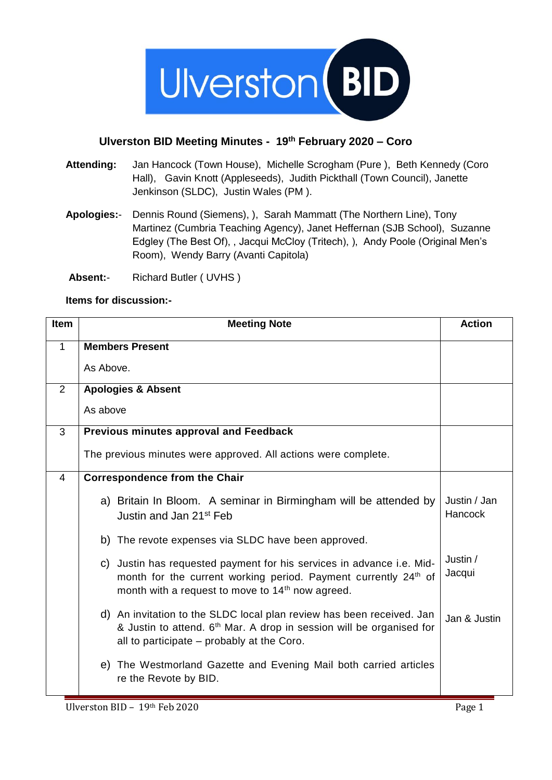

## **Ulverston BID Meeting Minutes - 19th February 2020 – Coro**

- **Attending:** Jan Hancock (Town House), Michelle Scrogham (Pure ), Beth Kennedy (Coro Hall), Gavin Knott (Appleseeds), Judith Pickthall (Town Council), Janette Jenkinson (SLDC), Justin Wales (PM ).
- **Apologies:** Dennis Round (Siemens), ), Sarah Mammatt (The Northern Line), Tony Martinez (Cumbria Teaching Agency), Janet Heffernan (SJB School), Suzanne Edgley (The Best Of), , Jacqui McCloy (Tritech), ), Andy Poole (Original Men's Room), Wendy Barry (Avanti Capitola)
- **Absent:** Richard Butler ( UVHS )

## **Items for discussion:-**

| Item           | <b>Meeting Note</b>                                                                                                                                                                                                  | <b>Action</b>           |
|----------------|----------------------------------------------------------------------------------------------------------------------------------------------------------------------------------------------------------------------|-------------------------|
| $\mathbf{1}$   | <b>Members Present</b>                                                                                                                                                                                               |                         |
|                | As Above.                                                                                                                                                                                                            |                         |
| 2              | <b>Apologies &amp; Absent</b>                                                                                                                                                                                        |                         |
|                | As above                                                                                                                                                                                                             |                         |
| 3              | <b>Previous minutes approval and Feedback</b>                                                                                                                                                                        |                         |
|                | The previous minutes were approved. All actions were complete.                                                                                                                                                       |                         |
| $\overline{4}$ | <b>Correspondence from the Chair</b>                                                                                                                                                                                 |                         |
|                | a) Britain In Bloom. A seminar in Birmingham will be attended by<br>Justin and Jan 21 <sup>st</sup> Feb                                                                                                              | Justin / Jan<br>Hancock |
|                | b) The revote expenses via SLDC have been approved.                                                                                                                                                                  |                         |
|                | c) Justin has requested payment for his services in advance i.e. Mid-<br>month for the current working period. Payment currently 24 <sup>th</sup> of<br>month with a request to move to 14 <sup>th</sup> now agreed. | Justin /<br>Jacqui      |
|                | d) An invitation to the SLDC local plan review has been received. Jan<br>& Justin to attend. 6 <sup>th</sup> Mar. A drop in session will be organised for<br>all to participate – probably at the Coro.              | Jan & Justin            |
|                | e) The Westmorland Gazette and Evening Mail both carried articles<br>re the Revote by BID.                                                                                                                           |                         |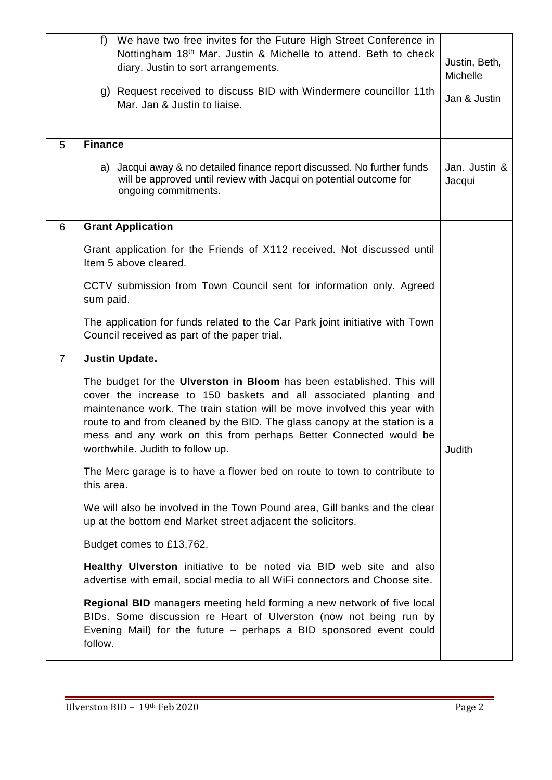|                | We have two free invites for the Future High Street Conference in<br>f<br>Nottingham 18 <sup>th</sup> Mar. Justin & Michelle to attend. Beth to check<br>diary. Justin to sort arrangements.<br>g) Request received to discuss BID with Windermere councillor 11th<br>Mar. Jan & Justin to liaise.                                                                                                           | Justin, Beth,<br>Michelle<br>Jan & Justin |
|----------------|--------------------------------------------------------------------------------------------------------------------------------------------------------------------------------------------------------------------------------------------------------------------------------------------------------------------------------------------------------------------------------------------------------------|-------------------------------------------|
| 5              | <b>Finance</b>                                                                                                                                                                                                                                                                                                                                                                                               |                                           |
|                | a) Jacqui away & no detailed finance report discussed. No further funds<br>will be approved until review with Jacqui on potential outcome for<br>ongoing commitments.                                                                                                                                                                                                                                        | Jan. Justin &<br>Jacqui                   |
| 6              | <b>Grant Application</b>                                                                                                                                                                                                                                                                                                                                                                                     |                                           |
|                | Grant application for the Friends of X112 received. Not discussed until<br>Item 5 above cleared.                                                                                                                                                                                                                                                                                                             |                                           |
|                | CCTV submission from Town Council sent for information only. Agreed<br>sum paid.                                                                                                                                                                                                                                                                                                                             |                                           |
|                | The application for funds related to the Car Park joint initiative with Town<br>Council received as part of the paper trial.                                                                                                                                                                                                                                                                                 |                                           |
| $\overline{7}$ | <b>Justin Update.</b>                                                                                                                                                                                                                                                                                                                                                                                        |                                           |
|                | The budget for the Ulverston in Bloom has been established. This will<br>cover the increase to 150 baskets and all associated planting and<br>maintenance work. The train station will be move involved this year with<br>route to and from cleaned by the BID. The glass canopy at the station is a<br>mess and any work on this from perhaps Better Connected would be<br>worthwhile. Judith to follow up. | Judith                                    |
|                | The Merc garage is to have a flower bed on route to town to contribute to<br>this area.                                                                                                                                                                                                                                                                                                                      |                                           |
|                | We will also be involved in the Town Pound area, Gill banks and the clear<br>up at the bottom end Market street adjacent the solicitors.                                                                                                                                                                                                                                                                     |                                           |
|                | Budget comes to £13,762.                                                                                                                                                                                                                                                                                                                                                                                     |                                           |
|                | <b>Healthy Ulverston</b> initiative to be noted via BID web site and also<br>advertise with email, social media to all WiFi connectors and Choose site.                                                                                                                                                                                                                                                      |                                           |
|                | Regional BID managers meeting held forming a new network of five local<br>BIDs. Some discussion re Heart of Ulverston (now not being run by<br>Evening Mail) for the future - perhaps a BID sponsored event could<br>follow.                                                                                                                                                                                 |                                           |